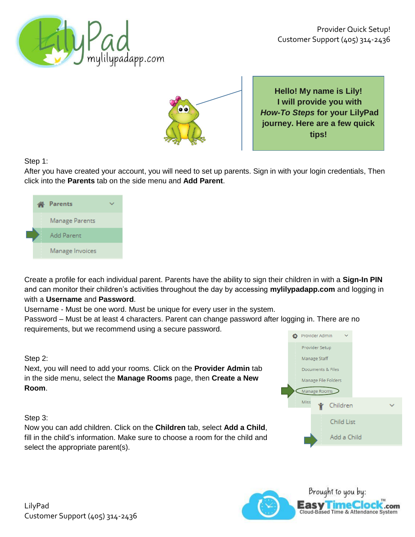



**Hello! My name is Lily! I will provide you with** *How-To Steps* **for your LilyPad journey. Here are a few quick tips!**

## Step 1:

After you have created your account, you will need to set up parents. Sign in with your login credentials, Then click into the **Parents** tab on the side menu and **Add Parent**.



Create a profile for each individual parent. Parents have the ability to sign their children in with a **Sign-In PIN** and can monitor their children's activities throughout the day by accessing **mylilypadapp.com** and logging in with a **Username** and **Password**.

Username - Must be one word. Must be unique for every user in the system.

Password – Must be at least 4 characters. Parent can change password after logging in. There are no requirements, but we recommend using a secure password.

## Step 2:

Next, you will need to add your rooms. Click on the **Provider Admin** tab in the side menu, select the **Manage Rooms** page, then **Create a New Room**.

#### Step 3:

Now you can add children. Click on the **Children** tab, select **Add a Child**, fill in the child's information. Make sure to choose a room for the child and select the appropriate parent(s).